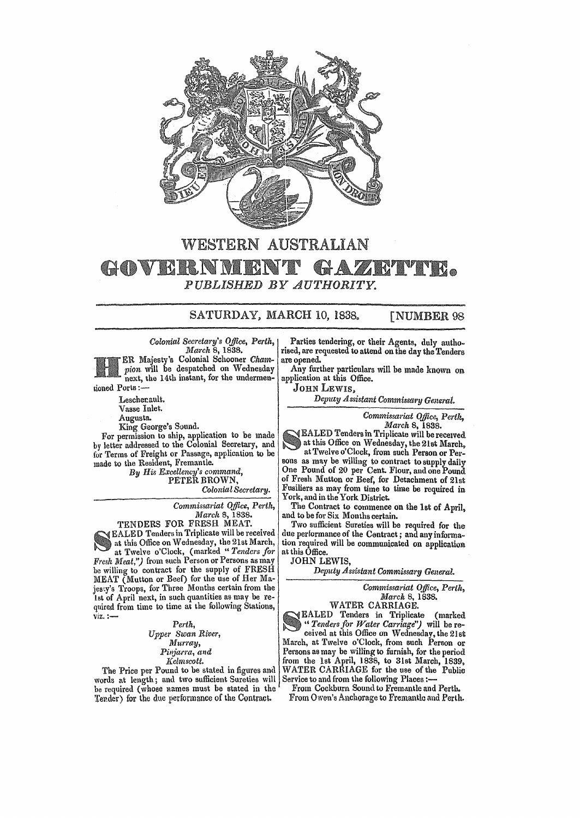

## WESTERN AUSTRALIAN GOVEI • *PUBLISHED BY AUTHORITY.*

## SATURDAY, MARCH 10, 1838. [NUMBER 98

*Colonial Secretary's Office, Perth, March* 8, 1838.

ER Majesty's Colonial Schooner Cham*pion* will be despatched on Wednesday next, the 14th instant, for the undermentioned Ports:-

Leschecault. Vasse Inlet.

Augusta.

King George's Sound.

For permission to ship, application to be made by letter addressed to the Colonial Secretary, and for Terms of Freight or Passage, application to be made to the Resident, Fremantle.

*By His Excellency's command,*  PETER BROWN,

*Colonial Secretary.* 

*Commissariat Office, Perth, March* 5,1838.

TENDERS FOR FRESH MEAT.

EALED Tenders in Triplicate will be received at this Office on Wednesday, the 21st March, at Twelve o'Clock, (marked" *Tenders for Fresh Meat,")* from such Person or Persons as may be willing to contract for the supply of FRESH MEAT (Mutton or Beef) for the use of Her Majesty's Troops, for Three Months certain from the 1st of April next, in such quantities as may be required from time to time at the following Stations, viz.:-

> *Perth, Upper Swan River, Murray, Pill:jarra, and*

*](elmscoti.* 

The Price per Pound to be stated in figures and words at length; and two sufficient Sureties will be required (whose names must be stated in the 'l'ender) for the due performance of the Contract.

Parties tendering, or their Agents, duly authorised, are requested to attend on the day the Tenders are opened.

Any further particulars will be made known on application at this Office.

JOHN LEWIS.

*Deputy Assistant Commissary General.* 

*Commissariat Office,* Pertl~, *March* 8, 1838.

EALED Tenders in Triplicate will be receIved at this Office on Wednesday, the 21st March, at Twelve o'Clock, from such Person or Persons as may be willing to contract to supply daily One Pound of 20 per Cent. Flour, and one Pound of Fresh Mutton or Beef, for Detachment of 21st Fusiliers as may from time to time be required in York, and in the York District.

The Contract to commence on the 1st of April, and to be for Six Months certain.

Two sufficient Sureties will be required for the due performance of the Centract; and any information required will be communicated on application at this Office.

JOHN LEWIS,

*Deputy Assistant Commissary General.* 

*Commissariat Office, Perth, March* 8, 1838.

WATER CARRIAGE. EALED Tenders in Triplicate (marked *" Tenders for Water Carriage'')* will be received at this Office on Wednesday, the 21st March. at Twelve o'Clock, from such Person or Persons as may be willing to furnish, for the period from the 1st April, 1838, to 31st March, 1839. WATER CARRIAGE for the use of the Public Service to and from the following Places :-

From Cockburn Sound to Fremantle and Perth. From Owen's Anchorage to Fremantle and Perth.